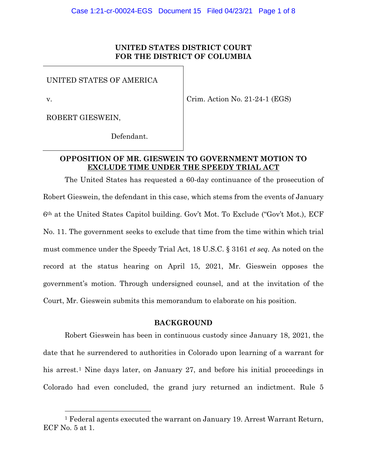## **UNITED STATES DISTRICT COURT FOR THE DISTRICT OF COLUMBIA**

UNITED STATES OF AMERICA

v.

Crim. Action No. 21-24-1 (EGS)

ROBERT GIESWEIN,

Defendant.

## **OPPOSITION OF MR. GIESWEIN TO GOVERNMENT MOTION TO EXCLUDE TIME UNDER THE SPEEDY TRIAL ACT**

The United States has requested a 60-day continuance of the prosecution of Robert Gieswein, the defendant in this case, which stems from the events of January 6th at the United States Capitol building. Gov't Mot. To Exclude ("Gov't Mot.), ECF No. 11. The government seeks to exclude that time from the time within which trial must commence under the Speedy Trial Act, 18 U.S.C. § 3161 *et seq.* As noted on the record at the status hearing on April 15, 2021, Mr. Gieswein opposes the government's motion. Through undersigned counsel, and at the invitation of the Court, Mr. Gieswein submits this memorandum to elaborate on his position.

### **BACKGROUND**

Robert Gieswein has been in continuous custody since January 18, 2021, the date that he surrendered to authorities in Colorado upon learning of a warrant for his arrest.<sup>1</sup> Nine days later, on January 27, and before his initial proceedings in Colorado had even concluded, the grand jury returned an indictment. Rule 5

<sup>1</sup> Federal agents executed the warrant on January 19. Arrest Warrant Return, ECF No. 5 at 1.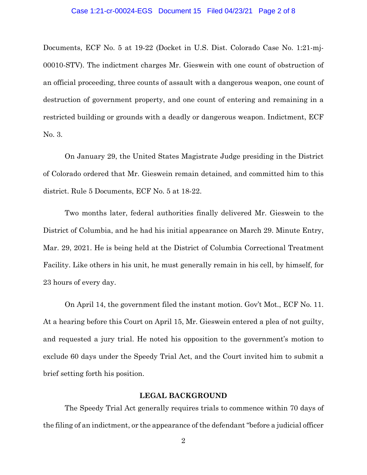#### Case 1:21-cr-00024-EGS Document 15 Filed 04/23/21 Page 2 of 8

Documents, ECF No. 5 at 19-22 (Docket in U.S. Dist. Colorado Case No. 1:21-mj-00010-STV). The indictment charges Mr. Gieswein with one count of obstruction of an official proceeding, three counts of assault with a dangerous weapon, one count of destruction of government property, and one count of entering and remaining in a restricted building or grounds with a deadly or dangerous weapon. Indictment, ECF No. 3.

On January 29, the United States Magistrate Judge presiding in the District of Colorado ordered that Mr. Gieswein remain detained, and committed him to this district. Rule 5 Documents, ECF No. 5 at 18-22.

Two months later, federal authorities finally delivered Mr. Gieswein to the District of Columbia, and he had his initial appearance on March 29. Minute Entry, Mar. 29, 2021. He is being held at the District of Columbia Correctional Treatment Facility. Like others in his unit, he must generally remain in his cell, by himself, for 23 hours of every day.

On April 14, the government filed the instant motion. Gov't Mot., ECF No. 11. At a hearing before this Court on April 15, Mr. Gieswein entered a plea of not guilty, and requested a jury trial. He noted his opposition to the government's motion to exclude 60 days under the Speedy Trial Act, and the Court invited him to submit a brief setting forth his position.

## **LEGAL BACKGROUND**

The Speedy Trial Act generally requires trials to commence within 70 days of the filing of an indictment, or the appearance of the defendant "before a judicial officer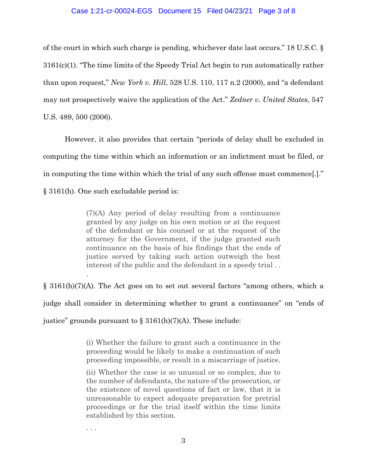### Case 1:21-cr-00024-EGS Document 15 Filed 04/23/21 Page 3 of 8

of the court in which such charge is pending, whichever date last occurs." 18 U.S.C. § 3161(c)(1). "The time limits of the Speedy Trial Act begin to run automatically rather than upon request," *New York v. Hill*, 528 U.S. 110, 117 n.2 (2000), and "a defendant may not prospectively waive the application of the Act." *Zedner v. United States*, 547 U.S. 489, 500 (2006).

However, it also provides that certain "periods of delay shall be excluded in computing the time within which an information or an indictment must be filed, or in computing the time within which the trial of any such offense must commence[.]." § 3161(h). One such excludable period is:

> (7)(A) Any period of delay resulting from a continuance granted by any judge on his own motion or at the request of the defendant or his counsel or at the request of the attorney for the Government, if the judge granted such continuance on the basis of his findings that the ends of justice served by taking such action outweigh the best interest of the public and the defendant in a speedy trial . .

§ 3161(h)(7)(A). The Act goes on to set out several factors "among others, which a judge shall consider in determining whether to grant a continuance" on "ends of justice" grounds pursuant to  $\S 3161(h)(7)(A)$ . These include:

> (i) Whether the failure to grant such a continuance in the proceeding would be likely to make a continuation of such proceeding impossible, or result in a miscarriage of justice.

> (ii) Whether the case is so unusual or so complex, due to the number of defendants, the nature of the prosecution, or the existence of novel questions of fact or law, that it is unreasonable to expect adequate preparation for pretrial proceedings or for the trial itself within the time limits established by this section.

. . .

.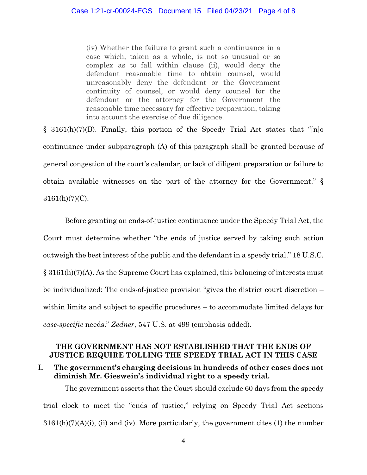(iv) Whether the failure to grant such a continuance in a case which, taken as a whole, is not so unusual or so complex as to fall within clause (ii), would deny the defendant reasonable time to obtain counsel, would unreasonably deny the defendant or the Government continuity of counsel, or would deny counsel for the defendant or the attorney for the Government the reasonable time necessary for effective preparation, taking into account the exercise of due diligence.

§ 3161(h)(7)(B). Finally, this portion of the Speedy Trial Act states that "[n]o continuance under subparagraph (A) of this paragraph shall be granted because of general congestion of the court's calendar, or lack of diligent preparation or failure to obtain available witnesses on the part of the attorney for the Government." §  $3161(h)(7)(C)$ .

Before granting an ends-of-justice continuance under the Speedy Trial Act, the Court must determine whether "the ends of justice served by taking such action outweigh the best interest of the public and the defendant in a speedy trial." 18 U.S.C. § 3161(h)(7)(A). As the Supreme Court has explained, this balancing of interests must be individualized: The ends-of-justice provision "gives the district court discretion – within limits and subject to specific procedures – to accommodate limited delays for *case-specific* needs." *Zedner*, 547 U.S. at 499 (emphasis added).

## **THE GOVERNMENT HAS NOT ESTABLISHED THAT THE ENDS OF JUSTICE REQUIRE TOLLING THE SPEEDY TRIAL ACT IN THIS CASE**

# **I. The government's charging decisions in hundreds of other cases does not diminish Mr. Gieswein's individual right to a speedy trial.**

The government asserts that the Court should exclude 60 days from the speedy trial clock to meet the "ends of justice," relying on Speedy Trial Act sections  $3161(h)(7)(A)(i)$ , (ii) and (iv). More particularly, the government cites (1) the number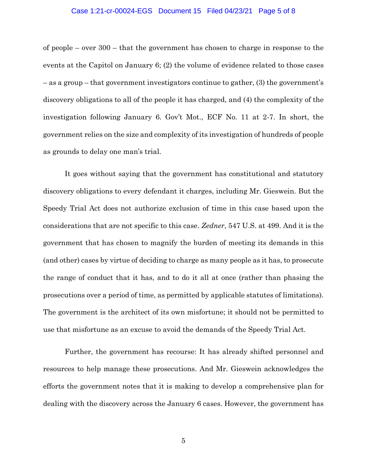#### Case 1:21-cr-00024-EGS Document 15 Filed 04/23/21 Page 5 of 8

of people – over 300 – that the government has chosen to charge in response to the events at the Capitol on January 6; (2) the volume of evidence related to those cases – as a group – that government investigators continue to gather, (3) the government's discovery obligations to all of the people it has charged, and (4) the complexity of the investigation following January 6. Gov't Mot., ECF No. 11 at 2-7. In short, the government relies on the size and complexity of its investigation of hundreds of people as grounds to delay one man's trial.

It goes without saying that the government has constitutional and statutory discovery obligations to every defendant it charges, including Mr. Gieswein. But the Speedy Trial Act does not authorize exclusion of time in this case based upon the considerations that are not specific to this case. *Zedner*, 547 U.S. at 499. And it is the government that has chosen to magnify the burden of meeting its demands in this (and other) cases by virtue of deciding to charge as many people as it has, to prosecute the range of conduct that it has, and to do it all at once (rather than phasing the prosecutions over a period of time, as permitted by applicable statutes of limitations). The government is the architect of its own misfortune; it should not be permitted to use that misfortune as an excuse to avoid the demands of the Speedy Trial Act.

Further, the government has recourse: It has already shifted personnel and resources to help manage these prosecutions. And Mr. Gieswein acknowledges the efforts the government notes that it is making to develop a comprehensive plan for dealing with the discovery across the January 6 cases. However, the government has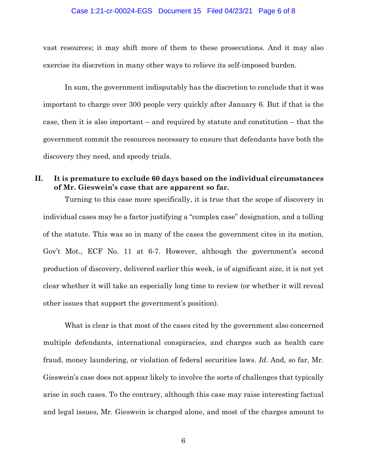#### Case 1:21-cr-00024-EGS Document 15 Filed 04/23/21 Page 6 of 8

vast resources; it may shift more of them to these prosecutions. And it may also exercise its discretion in many other ways to relieve its self-imposed burden.

In sum, the government indisputably has the discretion to conclude that it was important to charge over 300 people very quickly after January 6. But if that is the case, then it is also important – and required by statute and constitution – that the government commit the resources necessary to ensure that defendants have both the discovery they need, and speedy trials.

# **II. It is premature to exclude 60 days based on the individual circumstances of Mr. Gieswein's case that are apparent so far.**

Turning to this case more specifically, it is true that the scope of discovery in individual cases may be a factor justifying a "complex case" designation, and a tolling of the statute. This was so in many of the cases the government cites in its motion. Gov't Mot., ECF No. 11 at 6-7. However, although the government's second production of discovery, delivered earlier this week, is of significant size, it is not yet clear whether it will take an especially long time to review (or whether it will reveal other issues that support the government's position).

What is clear is that most of the cases cited by the government also concerned multiple defendants, international conspiracies, and charges such as health care fraud, money laundering, or violation of federal securities laws. *Id*. And, so far, Mr. Gieswein's case does not appear likely to involve the sorts of challenges that typically arise in such cases. To the contrary, although this case may raise interesting factual and legal issues, Mr. Gieswein is charged alone, and most of the charges amount to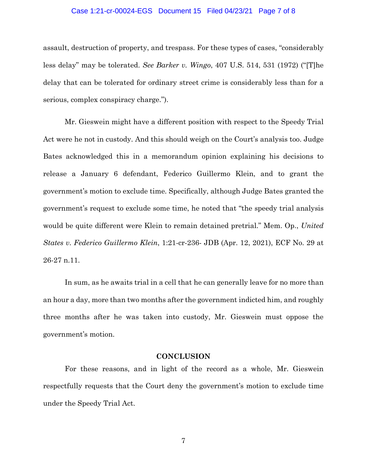### Case 1:21-cr-00024-EGS Document 15 Filed 04/23/21 Page 7 of 8

assault, destruction of property, and trespass. For these types of cases, "considerably less delay" may be tolerated. *See Barker v. Wingo*, 407 U.S. 514, 531 (1972) ("[T]he delay that can be tolerated for ordinary street crime is considerably less than for a serious, complex conspiracy charge.").

Mr. Gieswein might have a different position with respect to the Speedy Trial Act were he not in custody. And this should weigh on the Court's analysis too. Judge Bates acknowledged this in a memorandum opinion explaining his decisions to release a January 6 defendant, Federico Guillermo Klein, and to grant the government's motion to exclude time. Specifically, although Judge Bates granted the government's request to exclude some time, he noted that "the speedy trial analysis would be quite different were Klein to remain detained pretrial." Mem. Op., *United States v. Federico Guillermo Klein*, 1:21-cr-236- JDB (Apr. 12, 2021), ECF No. 29 at 26-27 n.11.

In sum, as he awaits trial in a cell that he can generally leave for no more than an hour a day, more than two months after the government indicted him, and roughly three months after he was taken into custody, Mr. Gieswein must oppose the government's motion.

### **CONCLUSION**

For these reasons, and in light of the record as a whole, Mr. Gieswein respectfully requests that the Court deny the government's motion to exclude time under the Speedy Trial Act.

7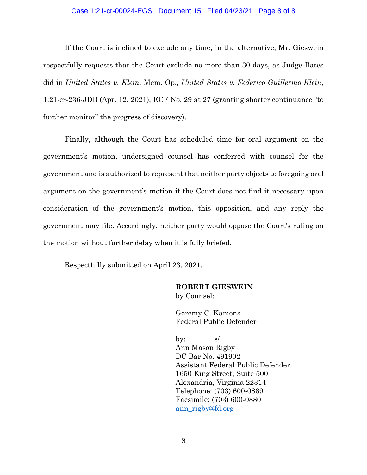### Case 1:21-cr-00024-EGS Document 15 Filed 04/23/21 Page 8 of 8

If the Court is inclined to exclude any time, in the alternative, Mr. Gieswein respectfully requests that the Court exclude no more than 30 days, as Judge Bates did in *United States v. Klein*. Mem. Op., *United States v. Federico Guillermo Klein*, 1:21-cr-236-JDB (Apr. 12, 2021), ECF No. 29 at 27 (granting shorter continuance "to further monitor" the progress of discovery).

Finally, although the Court has scheduled time for oral argument on the government's motion, undersigned counsel has conferred with counsel for the government and is authorized to represent that neither party objects to foregoing oral argument on the government's motion if the Court does not find it necessary upon consideration of the government's motion, this opposition, and any reply the government may file. Accordingly, neither party would oppose the Court's ruling on the motion without further delay when it is fully briefed.

Respectfully submitted on April 23, 2021.

## **ROBERT GIESWEIN** by Counsel:

Geremy C. Kamens Federal Public Defender

by:  $\qquad s/$ Ann Mason Rigby DC Bar No. 491902 Assistant Federal Public Defender 1650 King Street, Suite 500 Alexandria, Virginia 22314 Telephone: (703) 600-0869 Facsimile: (703) 600-0880 ann\_rigby@fd.org